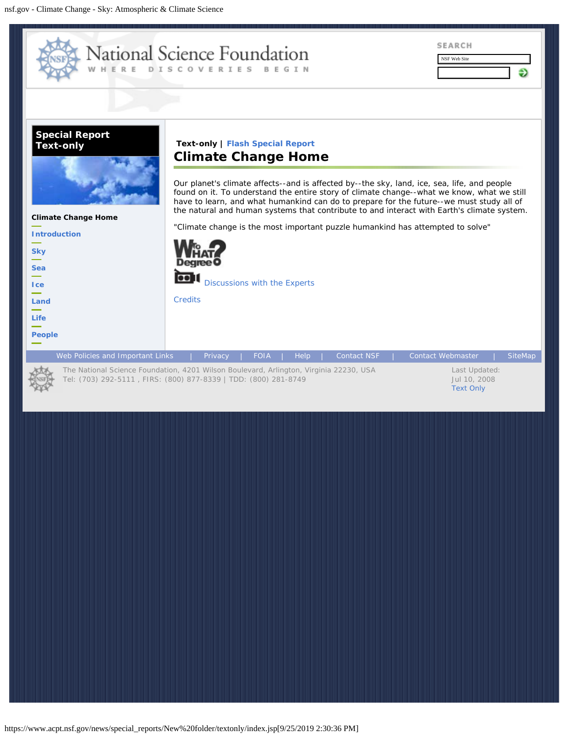<span id="page-0-0"></span>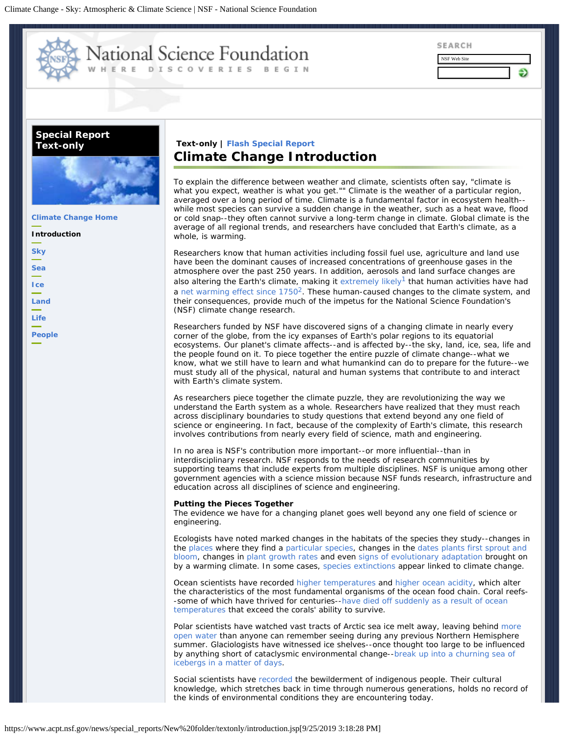Vational Science Foundation **DISCOVERIES** 

<span id="page-1-0"></span>

### SEARCH

| NSF Web Site |  |
|--------------|--|
|              |  |
|              |  |

### **Special Report Text-only**



**[Climate Change Home](#page-0-0)**

# **Introduction [Sky](#page-3-0) [Sea](#page-6-0) [Ice](#page-9-0) [Land](#page-13-0) [Life](#page-16-0) [People](https://www.acpt.nsf.gov/news/special_reports/New%20folder/textonly/people.jsp)**

## **Text-only | [Flash Special Report](http://www.nsf.gov/news/special_reports/climate/) Climate Change Introduction**

To explain the difference between weather and climate, scientists often say, "climate is what you expect, weather is what you get."" Climate is the weather of a particular region, averaged over a long period of time. Climate is a fundamental factor in ecosystem health- while most species can survive a sudden change in the weather, such as a heat wave, flood or cold snap--they often cannot survive a long-term change in climate. Global climate is the average of all regional trends, and researchers have concluded that Earth's climate, as a whole, is warming.

Researchers know that human activities including fossil fuel use, agriculture and land use have been the dominant causes of increased concentrations of greenhouse gases in the atmosphere over the past 250 years. In addition, aerosols and land surface changes are also altering the Earth's climate, making it [extremely likely](https://www.acpt.nsf.gov/cgi-bin/good-bye?http://ipcc-wg1.ucar.edu/wg1/wg1-report.html)<sup>[1](#page-1-0)</sup> that human activities have had a net warming effect since  $1750<sup>2</sup>$  $1750<sup>2</sup>$  $1750<sup>2</sup>$ [.](https://www.acpt.nsf.gov/news/special_reports/New%20folder/textonly/introduction.html#_ftn2) These human-caused changes to the climate system, and their consequences, provide much of the impetus for the National Science Foundation's (NSF) climate change research.

Researchers funded by NSF have discovered signs of a changing climate in nearly every corner of the globe, from the icy expanses of Earth's polar regions to its equatorial ecosystems. Our planet's climate affects--and is affected by--the sky, land, ice, sea, life and the people found on it. To piece together the entire puzzle of climate change--what we know, what we still have to learn and what humankind can do to prepare for the future--we must study all of the physical, natural and human systems that contribute to and interact with Earth's climate system.

As researchers piece together the climate puzzle, they are revolutionizing the way we understand the Earth system as a whole. Researchers have realized that they must reach across disciplinary boundaries to study questions that extend beyond any one field of science or engineering. In fact, because of the complexity of Earth's climate, this research involves contributions from nearly every field of science, math and engineering.

In no area is NSF's contribution more important--or more influential--than in interdisciplinary research. NSF responds to the needs of research communities by supporting teams that include experts from multiple disciplines. NSF is unique among other government agencies with a science mission because NSF funds research, infrastructure and education across *all* disciplines of science and engineering.

#### **Putting the Pieces Together**

The evidence we have for a changing planet goes well beyond any one field of science or engineering.

Ecologists have noted marked changes in the habitats of the species they study--changes in the [places](http://www.nsf.gov/news/news_summ.jsp?cntn_id=112093) where they find a [particular species](http://www.nsf.gov/news/news_summ.jsp?cntn_id=108522), changes in the [dates plants first sprout and](http://www.nsf.gov/news/news_summ.jsp?cntn_id=111117) [bloom](http://www.nsf.gov/news/news_summ.jsp?cntn_id=111117), changes in [plant growth rates](http://www.nsf.gov/news/news_summ.jsp?cntn_id=102841) and even [signs of evolutionary adaptation](http://www.nsf.gov/news/news_summ.jsp?cntn_id=109841) brought on by a warming climate. In some cases, [species extinctions](http://www.nsf.gov/news/news_summ.jsp?cntn_id=105707) appear linked to climate change.

Ocean scientists have recorded [higher temperatures](http://www.nsf.gov/news/news_summ.jsp?cntn_id=108801) and [higher ocean acidity](http://www.nsf.gov/news/news_summ.jsp?cntn_id=107060), which alter the characteristics of the most fundamental organisms of the ocean food chain. Coral reefs- -some of which have thrived for centuries-[-have died off suddenly as a result of ocean](http://www.nsf.gov/news/news_summ.jsp?cntn_id=108801) [temperatures](http://www.nsf.gov/news/news_summ.jsp?cntn_id=108801) that exceed the corals' ability to survive.

Polar scientists have watched vast tracts of Arctic sea ice melt away, leaving behind [more](http://www.nsf.gov/pubs/2008/nsf0842/nsf0842_4.pdf) [open water](http://www.nsf.gov/pubs/2008/nsf0842/nsf0842_4.pdf) than anyone can remember seeing during any previous Northern Hemisphere summer. Glaciologists have witnessed ice shelves--once thought too large to be influenced by anything short of cataclysmic environmental change-[-break up into a churning sea of](http://www.nsf.gov/od/lpa/news/02/pr0222.htm) [icebergs in a matter of days](http://www.nsf.gov/od/lpa/news/02/pr0222.htm).

Social scientists have [recorded](https://www.acpt.nsf.gov/cgi-bin/good-bye?http://www.acia.uaf.edu/PDFs/ACIA_Science_Chapters_Final/ACIA_Ch03_Final.pdf) the bewilderment of indigenous people. Their cultural knowledge, which stretches back in time through numerous generations, holds no record of the kinds of environmental conditions they are encountering today.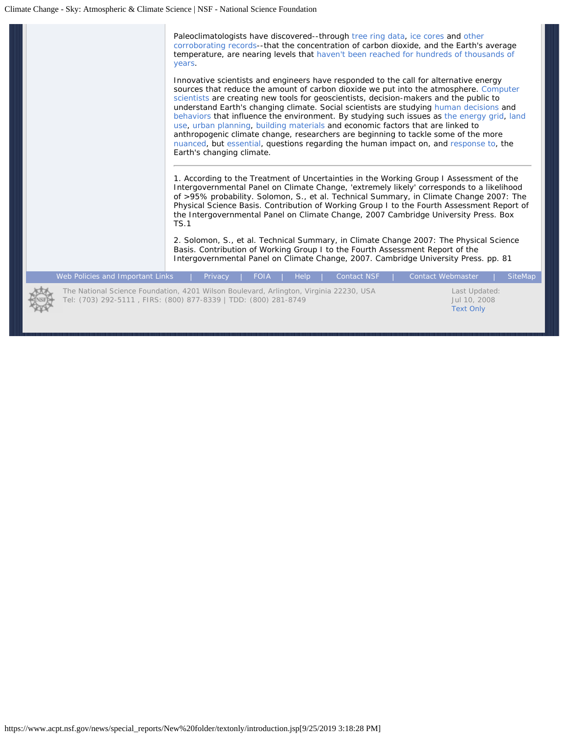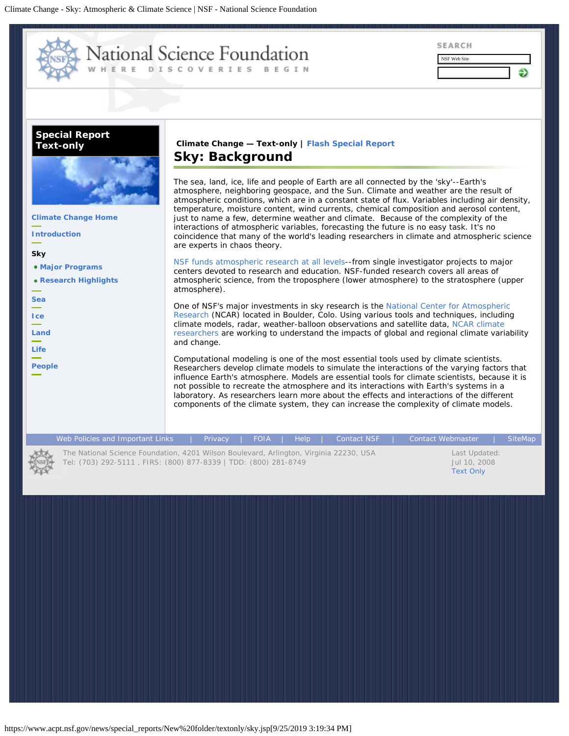<span id="page-3-0"></span>

https://www.acpt.nsf.gov/news/special\_reports/New%20folder/textonly/sky.jsp[9/25/2019 3:19:34 PM]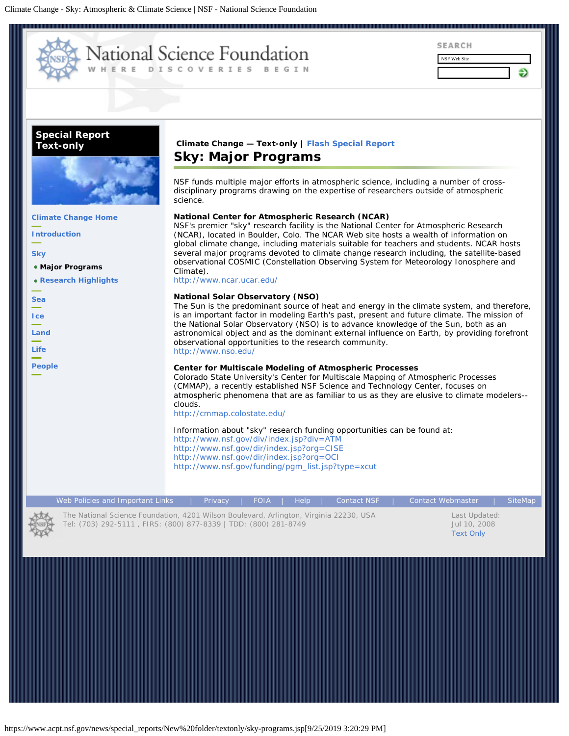<span id="page-4-0"></span>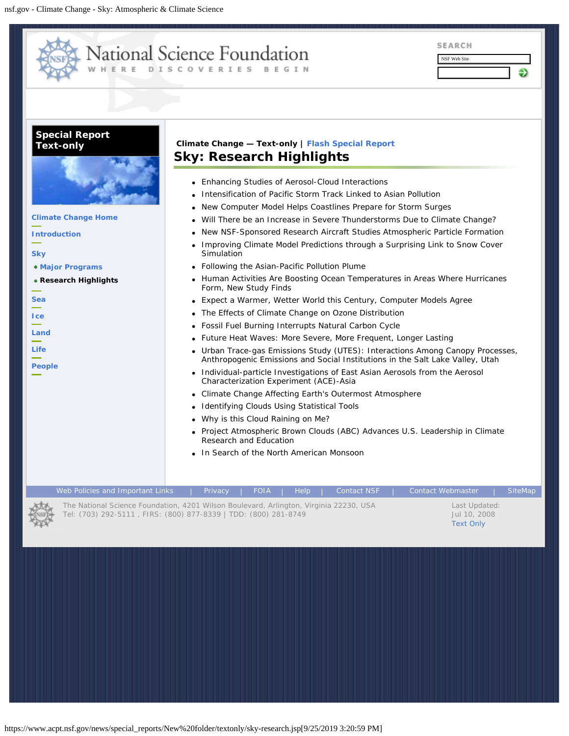<span id="page-5-0"></span>

Jul 10, 2008 [Text](http://transcoder.usablenet.com/tt/referrer) [Only](http://transcoder.usablenet.com/tt/referrer)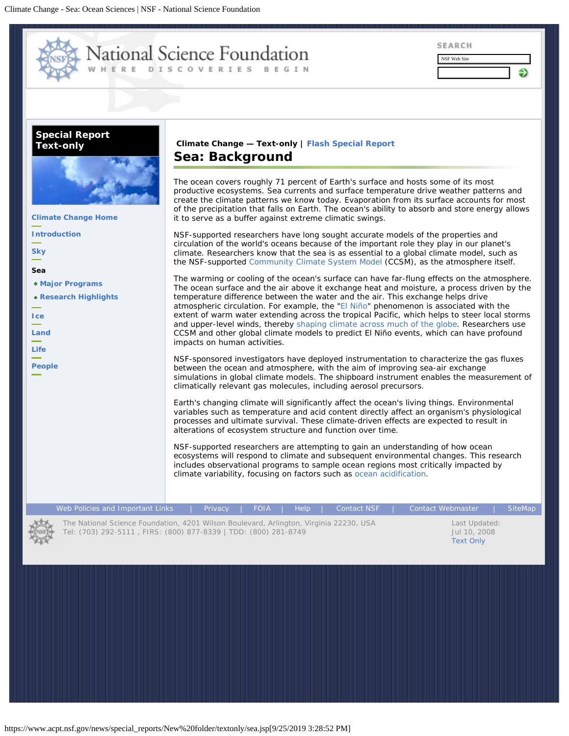<span id="page-6-0"></span>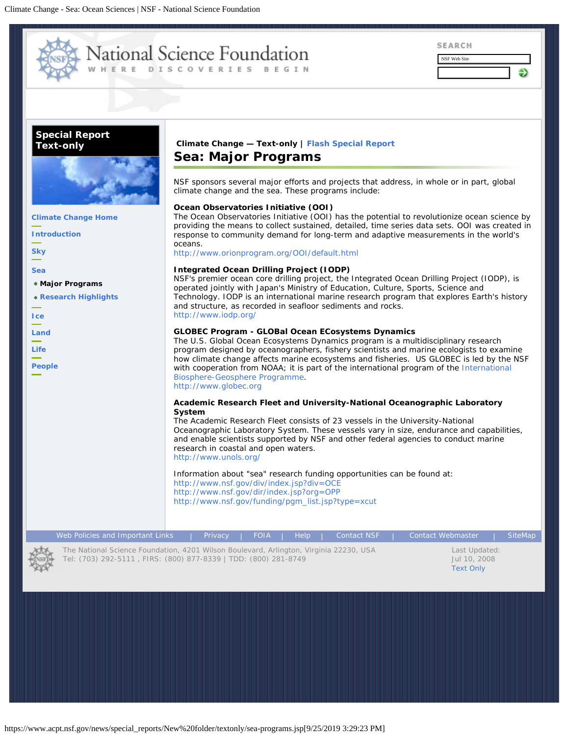<span id="page-7-0"></span>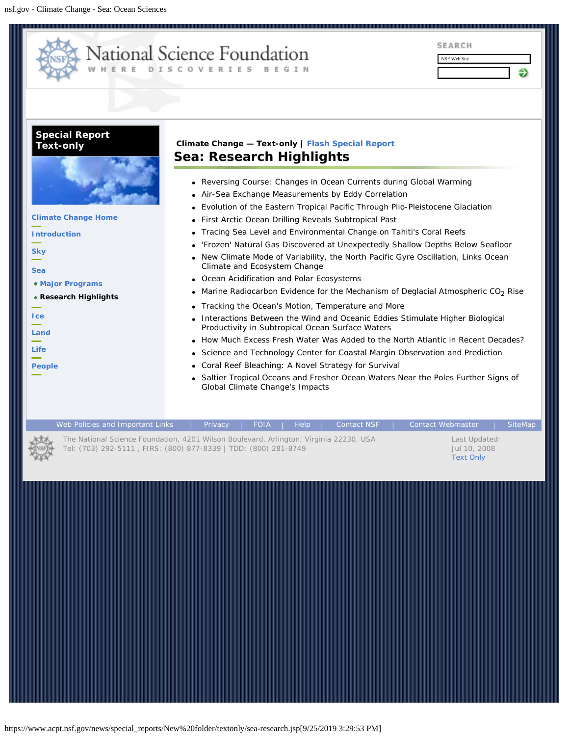<span id="page-8-0"></span>

https://www.acpt.nsf.gov/news/special\_reports/New%20folder/textonly/sea-research.jsp[9/25/2019 3:29:53 PM]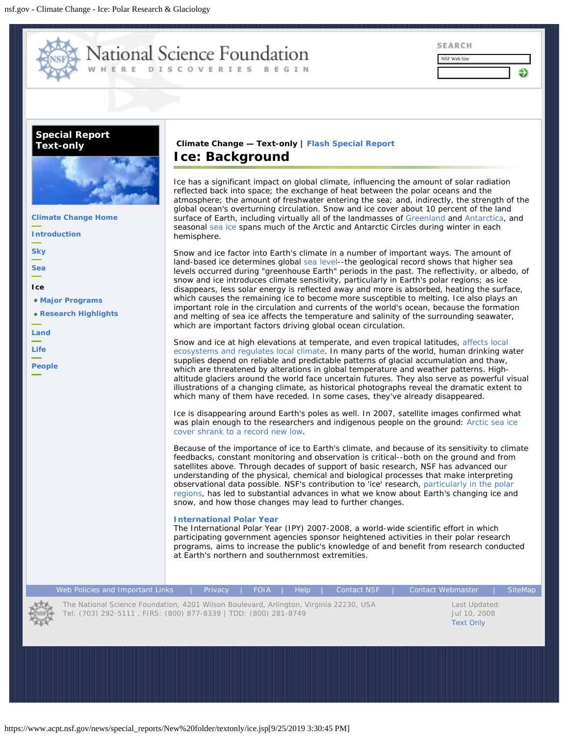<span id="page-9-0"></span>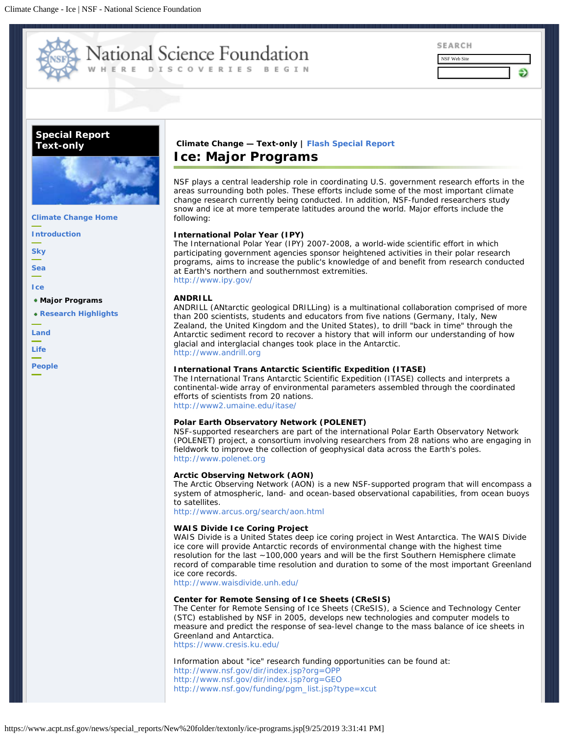

# Vational Science Foundation DISCOVERIES BEGIN

NSF Web Site NSF Web Site

### **Special Report Text-only**



**[Climate Change Home](#page-0-0)**

**[Introduction](#page-1-0)**

**[Sky](#page-3-0)**

**[Sea](#page-6-0)**

**[Ice](#page-9-0)**

### **Major Programs**

**[Research Highlights](#page-12-0)**

**[Land](#page-13-0)**

**[Life](#page-16-0)**

**[People](https://www.acpt.nsf.gov/news/special_reports/New%20folder/textonly/people.jsp)**

### **Climate Change — Text-only | [Flash Special Report](http://www.nsf.gov/news/special_reports/climate/) Ice: Major Programs**

<span id="page-10-0"></span>and the contract of the contract of the contract of the contract of the contract of the contract of the contract of the contract of the contract of the contract of the contract of the contract of the contract of the contra

NSF plays a central leadership role in coordinating U.S. government research efforts in the areas surrounding both poles. These efforts include some of the most important climate change research currently being conducted. In addition, NSF-funded researchers study snow and ice at more temperate latitudes around the world. Major efforts include the following:

### **International Polar Year (IPY)**

The International Polar Year (IPY) 2007-2008, a world-wide scientific effort in which participating government agencies sponsor heightened activities in their polar research programs, aims to increase the public's knowledge of and benefit from research conducted at Earth's northern and southernmost extremities. <http://www.ipy.gov/>

### **ANDRILL**

ANDRILL (ANtarctic geological DRILLing) is a multinational collaboration comprised of more than 200 scientists, students and educators from five nations (Germany, Italy, New Zealand, the United Kingdom and the United States), to drill "back in time" through the Antarctic sediment record to recover a history that will inform our understanding of how glacial and interglacial changes took place in the Antarctic. [http://www.andrill.org](https://www.acpt.nsf.gov/cgi-bin/good-bye?http://www.andrill.org/)

### **International Trans Antarctic Scientific Expedition (ITASE)**

The International Trans Antarctic Scientific Expedition (ITASE) collects and interprets a continental-wide array of environmental parameters assembled through the coordinated efforts of scientists from 20 nations. [http://www2.umaine.edu/itase/](https://www.acpt.nsf.gov/cgi-bin/good-bye?http://www2.umaine.edu/itase/)

### **Polar Earth Observatory Network (POLENET)**

NSF-supported researchers are part of the international Polar Earth Observatory Network (POLENET) project, a consortium involving researchers from 28 nations who are engaging in fieldwork to improve the collection of geophysical data across the Earth's poles. [http://www.polenet.org](https://www.acpt.nsf.gov/cgi-bin/good-bye?http://www.polenet.org/)

### **Arctic Observing Network (AON)**

The Arctic Observing Network (AON) is a new NSF-supported program that will encompass a system of atmospheric, land- and ocean-based observational capabilities, from ocean buoys to satellites.

[http://www.arcus.org/search/aon.html](https://www.acpt.nsf.gov/cgi-bin/good-bye?http://www.arcus.org/search/aon.html)

### **WAIS Divide Ice Coring Project**

WAIS Divide is a United States deep ice coring project in West Antarctica. The WAIS Divide ice core will provide Antarctic records of environmental change with the highest time resolution for the last ~100,000 years and will be the first Southern Hemisphere climate record of comparable time resolution and duration to some of the most important Greenland ice core records.

[http://www.waisdivide.unh.edu/](https://www.acpt.nsf.gov/cgi-bin/good-bye?http://www.waisdivide.unh.edu/)

### **Center for Remote Sensing of Ice Sheets (CReSIS)**

The Center for Remote Sensing of Ice Sheets (CReSIS), a Science and Technology Center (STC) established by NSF in 2005, develops new technologies and computer models to measure and predict the response of sea-level change to the mass balance of ice sheets in Greenland and Antarctica.

[https://www.cresis.ku.edu/](https://www.acpt.nsf.gov/cgi-bin/good-bye?https://www.cresis.ku.edu/)

Information about "ice" research funding opportunities can be found at: <http://www.nsf.gov/dir/index.jsp?org=OPP> <http://www.nsf.gov/dir/index.jsp?org=GEO> [http://www.nsf.gov/funding/pgm\\_list.jsp?type=xcut](http://www.nsf.gov/funding/pgm_list.jsp?type=xcut)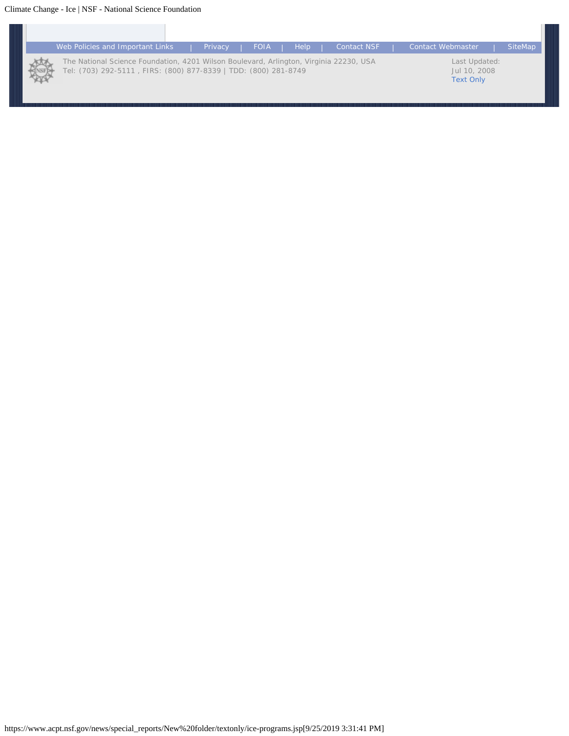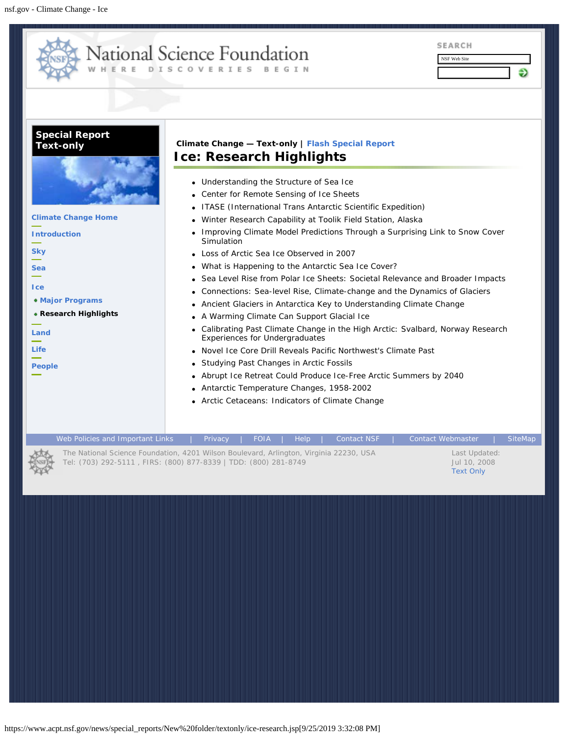<span id="page-12-0"></span>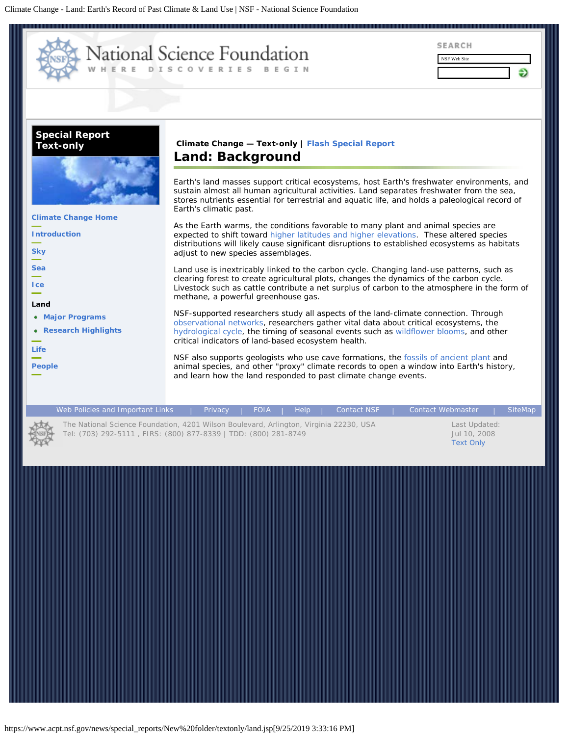<span id="page-13-0"></span>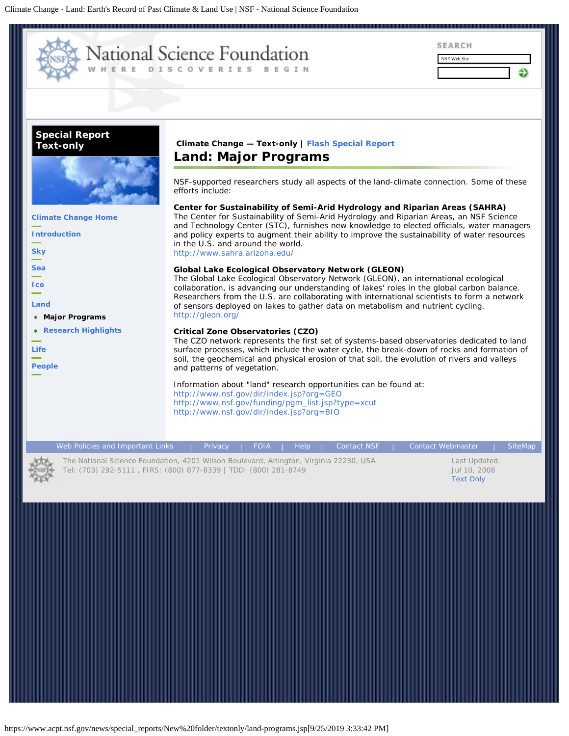<span id="page-14-0"></span>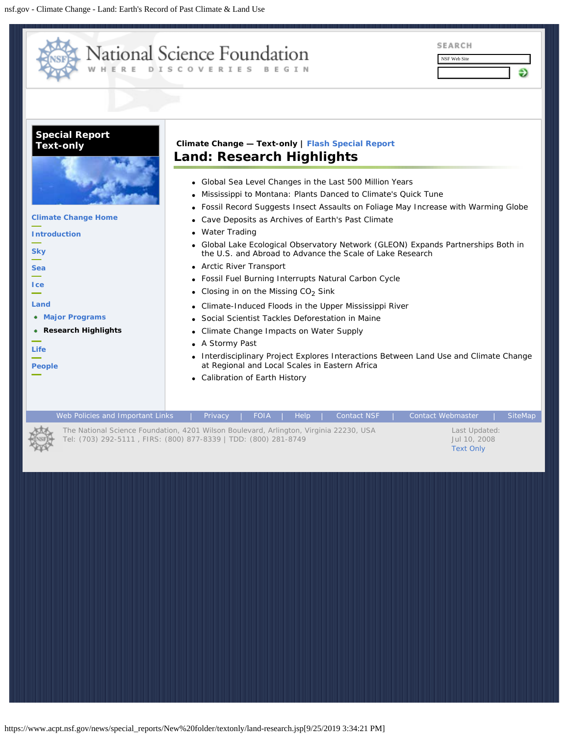<span id="page-15-0"></span>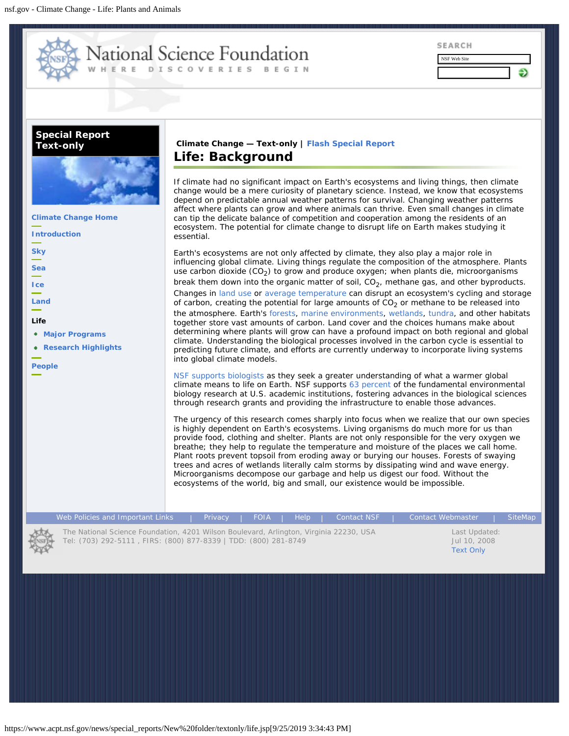<span id="page-16-0"></span>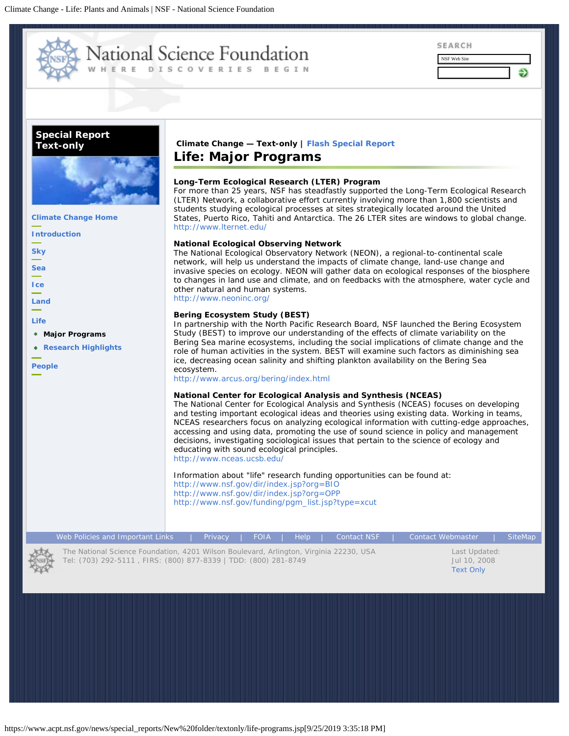<span id="page-17-0"></span>

| SEARCH<br>National Science Foundation<br>NSF Web Site<br>WHERE<br>DISCOVERIES BEGIN                                                                                                                              |                                                                                                                                                                                                                                                                                                                                                                                                                                                                                                                                                                                                                                                                                                                                                                                                                                                                                                                                                                                                                                                                                                                                                                                                                                                                                                                                                                                                                                                                                                                                                                                                                                                                                                                                                                                                                                                                                                                                                                                                                                                                                                                                                                                                                                                                                                                                                                                                                                                        |                                                                                          |  |  |
|------------------------------------------------------------------------------------------------------------------------------------------------------------------------------------------------------------------|--------------------------------------------------------------------------------------------------------------------------------------------------------------------------------------------------------------------------------------------------------------------------------------------------------------------------------------------------------------------------------------------------------------------------------------------------------------------------------------------------------------------------------------------------------------------------------------------------------------------------------------------------------------------------------------------------------------------------------------------------------------------------------------------------------------------------------------------------------------------------------------------------------------------------------------------------------------------------------------------------------------------------------------------------------------------------------------------------------------------------------------------------------------------------------------------------------------------------------------------------------------------------------------------------------------------------------------------------------------------------------------------------------------------------------------------------------------------------------------------------------------------------------------------------------------------------------------------------------------------------------------------------------------------------------------------------------------------------------------------------------------------------------------------------------------------------------------------------------------------------------------------------------------------------------------------------------------------------------------------------------------------------------------------------------------------------------------------------------------------------------------------------------------------------------------------------------------------------------------------------------------------------------------------------------------------------------------------------------------------------------------------------------------------------------------------------------|------------------------------------------------------------------------------------------|--|--|
|                                                                                                                                                                                                                  |                                                                                                                                                                                                                                                                                                                                                                                                                                                                                                                                                                                                                                                                                                                                                                                                                                                                                                                                                                                                                                                                                                                                                                                                                                                                                                                                                                                                                                                                                                                                                                                                                                                                                                                                                                                                                                                                                                                                                                                                                                                                                                                                                                                                                                                                                                                                                                                                                                                        |                                                                                          |  |  |
| <b>Special Report</b><br><b>Text-only</b><br><b>Climate Change Home</b><br><b>Introduction</b><br><b>Sky</b><br>Sea<br><b>I</b> ce<br>Land<br>Life<br>• Major Programs<br>• Research Highlights<br><b>People</b> | Climate Change - Text-only   Flash Special Report<br>Life: Major Programs<br>Long-Term Ecological Research (LTER) Program<br>For more than 25 years, NSF has steadfastly supported the Long-Term Ecological Research<br>(LTER) Network, a collaborative effort currently involving more than 1,800 scientists and<br>students studying ecological processes at sites strategically located around the United<br>States, Puerto Rico, Tahiti and Antarctica. The 26 LTER sites are windows to global change.<br>http://www.lternet.edu/<br><b>National Ecological Observing Network</b><br>The National Ecological Observatory Network (NEON), a regional-to-continental scale<br>network, will help us understand the impacts of climate change, land-use change and<br>invasive species on ecology. NEON will gather data on ecological responses of the biosphere<br>to changes in land use and climate, and on feedbacks with the atmosphere, water cycle and<br>other natural and human systems.<br>http://www.neoninc.org/<br><b>Bering Ecosystem Study (BEST)</b><br>In partnership with the North Pacific Research Board, NSF launched the Bering Ecosystem<br>Study (BEST) to improve our understanding of the effects of climate variability on the<br>Bering Sea marine ecosystems, including the social implications of climate change and the<br>role of human activities in the system. BEST will examine such factors as diminishing sea<br>ice, decreasing ocean salinity and shifting plankton availability on the Bering Sea<br>ecosystem.<br>http://www.arcus.org/bering/index.html<br>National Center for Ecological Analysis and Synthesis (NCEAS)<br>The National Center for Ecological Analysis and Synthesis (NCEAS) focuses on developing<br>and testing important ecological ideas and theories using existing data. Working in teams,<br>NCEAS researchers focus on analyzing ecological information with cutting-edge approaches,<br>accessing and using data, promoting the use of sound science in policy and management<br>decisions, investigating sociological issues that pertain to the science of ecology and<br>educating with sound ecological principles.<br>http://www.nceas.ucsb.edu/<br>Information about "life" research funding opportunities can be found at:<br>http://www.nsf.gov/dir/index.jsp?org=BIO<br>http://www.nsf.gov/dir/index.jsp?org=OPP<br>http://www.nsf.gov/funding/pgm_list.jsp?type=xcut |                                                                                          |  |  |
| Web Policies and Important Links                                                                                                                                                                                 | Privacy<br><b>FOIA</b><br>Contact NSF<br>Help<br>The National Science Foundation, 4201 Wilson Boulevard, Arlington, Virginia 22230, USA<br>Tel: (703) 292-5111, FIRS: (800) 877-8339   TDD: (800) 281-8749                                                                                                                                                                                                                                                                                                                                                                                                                                                                                                                                                                                                                                                                                                                                                                                                                                                                                                                                                                                                                                                                                                                                                                                                                                                                                                                                                                                                                                                                                                                                                                                                                                                                                                                                                                                                                                                                                                                                                                                                                                                                                                                                                                                                                                             | <b>Contact Webmaster</b><br>SiteMap<br>Last Updated:<br>Jul 10, 2008<br><b>Text Only</b> |  |  |
|                                                                                                                                                                                                                  |                                                                                                                                                                                                                                                                                                                                                                                                                                                                                                                                                                                                                                                                                                                                                                                                                                                                                                                                                                                                                                                                                                                                                                                                                                                                                                                                                                                                                                                                                                                                                                                                                                                                                                                                                                                                                                                                                                                                                                                                                                                                                                                                                                                                                                                                                                                                                                                                                                                        |                                                                                          |  |  |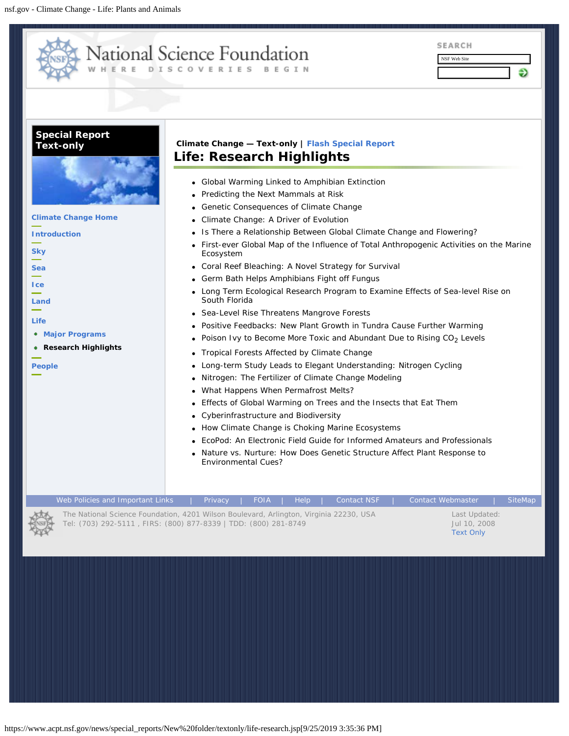<span id="page-18-0"></span>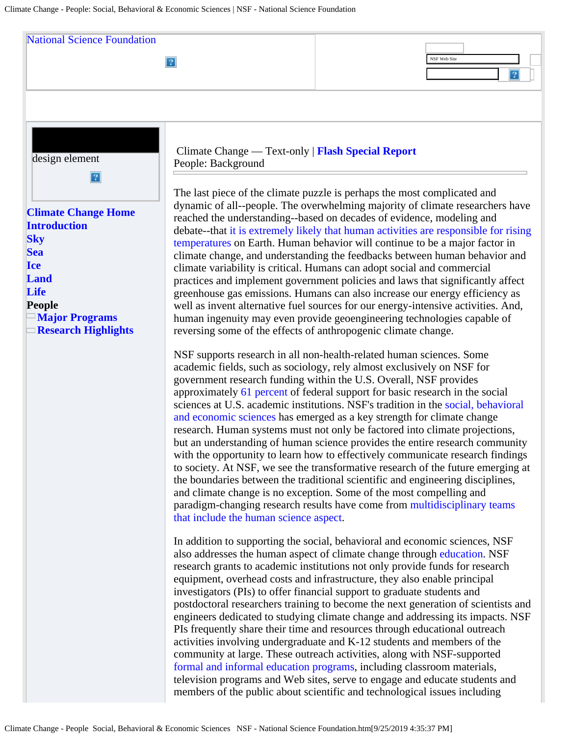| <b>National Science Foundation</b>                                                                                                                                                                           |                                                                                                                                                                                                                                                                                                                                                                                                                                                                                                                                                                                                                                                                                                                                                                                                                                                                                                                                                                                                                                                                                                                                                                                                                                                                                                                                                                                                                                                                                                                                                                                                                                                                                                                                                                                                                                                                                                                                                                                                                                                                                                                                                                                                                                                                                                                                                                                                                                                                                                                                                                                                                                                                                                                                                                                                                                                                                                                                                                                                                                                                                                                                                                                                |                                |
|--------------------------------------------------------------------------------------------------------------------------------------------------------------------------------------------------------------|------------------------------------------------------------------------------------------------------------------------------------------------------------------------------------------------------------------------------------------------------------------------------------------------------------------------------------------------------------------------------------------------------------------------------------------------------------------------------------------------------------------------------------------------------------------------------------------------------------------------------------------------------------------------------------------------------------------------------------------------------------------------------------------------------------------------------------------------------------------------------------------------------------------------------------------------------------------------------------------------------------------------------------------------------------------------------------------------------------------------------------------------------------------------------------------------------------------------------------------------------------------------------------------------------------------------------------------------------------------------------------------------------------------------------------------------------------------------------------------------------------------------------------------------------------------------------------------------------------------------------------------------------------------------------------------------------------------------------------------------------------------------------------------------------------------------------------------------------------------------------------------------------------------------------------------------------------------------------------------------------------------------------------------------------------------------------------------------------------------------------------------------------------------------------------------------------------------------------------------------------------------------------------------------------------------------------------------------------------------------------------------------------------------------------------------------------------------------------------------------------------------------------------------------------------------------------------------------------------------------------------------------------------------------------------------------------------------------------------------------------------------------------------------------------------------------------------------------------------------------------------------------------------------------------------------------------------------------------------------------------------------------------------------------------------------------------------------------------------------------------------------------------------------------------------------------|--------------------------------|
|                                                                                                                                                                                                              |                                                                                                                                                                                                                                                                                                                                                                                                                                                                                                                                                                                                                                                                                                                                                                                                                                                                                                                                                                                                                                                                                                                                                                                                                                                                                                                                                                                                                                                                                                                                                                                                                                                                                                                                                                                                                                                                                                                                                                                                                                                                                                                                                                                                                                                                                                                                                                                                                                                                                                                                                                                                                                                                                                                                                                                                                                                                                                                                                                                                                                                                                                                                                                                                | NSF Web Site<br>$\overline{?}$ |
| design element<br><b>Climate Change Home</b><br><b>Introduction</b><br><b>Sky</b><br><b>Sea</b><br><b>Ice</b><br><b>Land</b><br><b>Life</b><br>People<br><b>Major Programs</b><br><b>Research Highlights</b> | Climate Change — Text-only   Flash Special Report<br>People: Background<br>The last piece of the climate puzzle is perhaps the most complicated and<br>dynamic of all--people. The overwhelming majority of climate researchers have<br>reached the understanding--based on decades of evidence, modeling and<br>debate--that it is extremely likely that human activities are responsible for rising<br>temperatures on Earth. Human behavior will continue to be a major factor in<br>climate change, and understanding the feedbacks between human behavior and<br>climate variability is critical. Humans can adopt social and commercial<br>practices and implement government policies and laws that significantly affect<br>greenhouse gas emissions. Humans can also increase our energy efficiency as<br>well as invent alternative fuel sources for our energy-intensive activities. And,<br>human ingenuity may even provide geoengineering technologies capable of<br>reversing some of the effects of anthropogenic climate change.<br>NSF supports research in all non-health-related human sciences. Some<br>academic fields, such as sociology, rely almost exclusively on NSF for<br>government research funding within the U.S. Overall, NSF provides<br>approximately 61 percent of federal support for basic research in the social<br>sciences at U.S. academic institutions. NSF's tradition in the social, behavioral<br>and economic sciences has emerged as a key strength for climate change<br>research. Human systems must not only be factored into climate projections,<br>but an understanding of human science provides the entire research community<br>with the opportunity to learn how to effectively communicate research findings<br>to society. At NSF, we see the transformative research of the future emerging at<br>the boundaries between the traditional scientific and engineering disciplines,<br>and climate change is no exception. Some of the most compelling and<br>paradigm-changing research results have come from multidisciplinary teams<br>that include the human science aspect.<br>In addition to supporting the social, behavioral and economic sciences, NSF<br>also addresses the human aspect of climate change through education. NSF<br>research grants to academic institutions not only provide funds for research<br>equipment, overhead costs and infrastructure, they also enable principal<br>investigators (PIs) to offer financial support to graduate students and<br>postdoctoral researchers training to become the next generation of scientists and<br>engineers dedicated to studying climate change and addressing its impacts. NSF<br>PIs frequently share their time and resources through educational outreach<br>activities involving undergraduate and K-12 students and members of the<br>community at large. These outreach activities, along with NSF-supported<br>formal and informal education programs, including classroom materials,<br>television programs and Web sites, serve to engage and educate students and<br>members of the public about scientific and technological issues including |                                |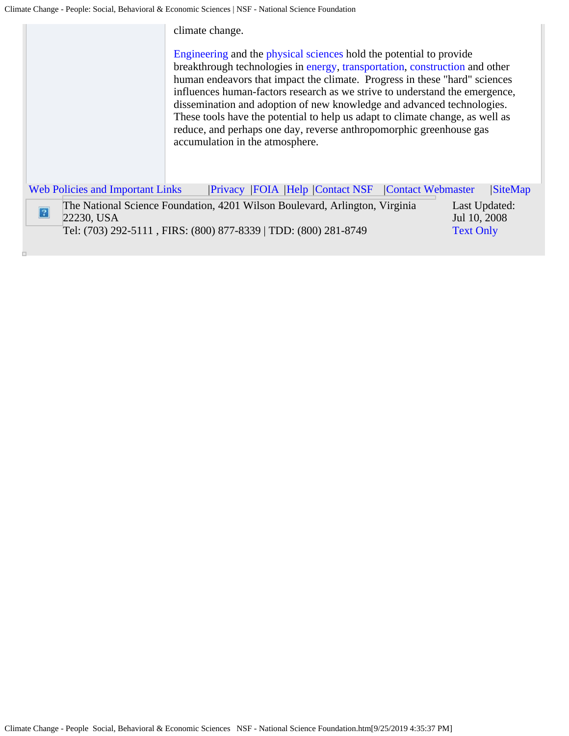climate change. [Engineering a](http://www.nsf.gov/dir/index.jsp?org=ENG)nd the [physical sciences](http://www.nsf.gov/dir/index.jsp?org=MPS) hold the potential to provide breakthrough technologies in [energy](http://www.nsf.gov/funding/pgm_summ.jsp?pims_id=501026&org=NSF&sel_org=NSF&from=fund), [transportation](http://www.nsf.gov/news/news_summ.jsp?cntn_id=111392), [construction](http://www.nsf.gov/news/news_summ.jsp?cntn_id=109594) and other human endeavors that impact the climate. Progress in these "hard" sciences influences human-factors research as we strive to understand the emergence, dissemination and adoption of new knowledge and advanced technologies. These tools have the potential to help us adapt to climate change, as well as reduce, and perhaps one day, reverse anthropomorphic greenhouse gas accumulation in the atmosphere. [Web Policies and Important Links](http://www.nsf.gov/policies/) | [Privacy](http://www.nsf.gov/policies/privacy.html) | [FOIA](http://www.nsf.gov/policies/foia.html) | [Help](http://www.nsf.gov/help/) | [Contact NSF](http://www.nsf.gov/help/contact.html) | [Contact Webmaster](mailto:olpa-webmaster@nsf.gov) | [SiteMap](http://www.nsf.gov/help/sitemap.html) The National Science Foundation, 4201 Wilson Boulevard, Arlington, Virginia Last Updated:  $\boldsymbol{B}$ Jul 10, 2008 22230, USA Tel: (703) 292-5111 , FIRS: (800) 877-8339 | TDD: (800) 281-8749 [Text](http://transcoder.usablenet.com/tt/referrer) [Only](http://transcoder.usablenet.com/tt/referrer)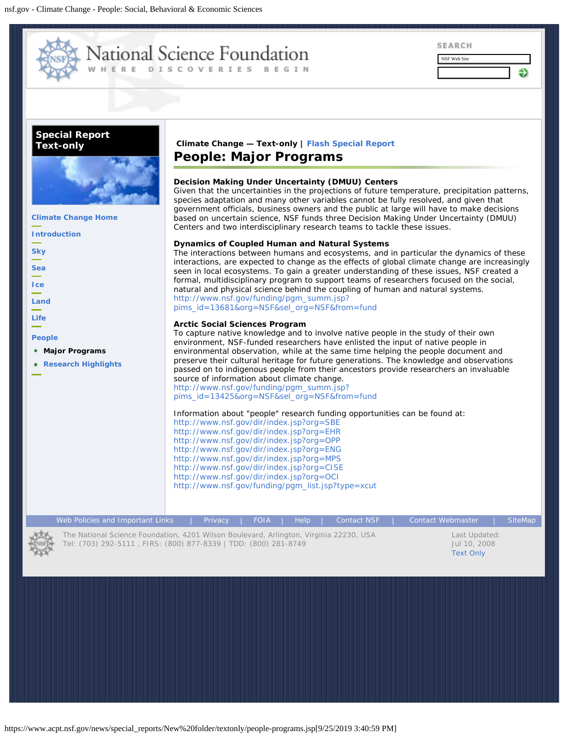<span id="page-21-0"></span>

https://www.acpt.nsf.gov/news/special\_reports/New%20folder/textonly/people-programs.jsp[9/25/2019 3:40:59 PM]